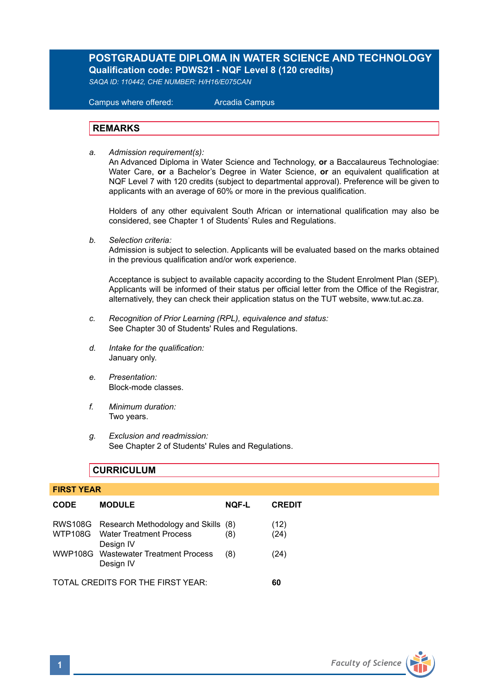# **POSTGRADUATE DIPLOMA IN WATER SCIENCE AND TECHNOLOGY Qualification code: PDWS21 - NQF Level 8 (120 credits)**

*SAQA ID: 110442, CHE NUMBER: H/H16/E075CAN*

 Campus where offered: Arcadia Campus

## **REMARKS**

*a. Admission requirement(s):* 

An Advanced Diploma in Water Science and Technology, **or** a Baccalaureus Technologiae: Water Care, **or** a Bachelor's Degree in Water Science, **or** an equivalent qualification at NQF Level 7 with 120 credits (subject to departmental approval). Preference will be given to applicants with an average of 60% or more in the previous qualification.

Holders of any other equivalent South African or international qualification may also be considered, see Chapter 1 of Students' Rules and Regulations.

*b. Selection criteria:*

Admission is subject to selection. Applicants will be evaluated based on the marks obtained in the previous qualification and/or work experience.

Acceptance is subject to available capacity according to the Student Enrolment Plan (SEP). Applicants will be informed of their status per official letter from the Office of the Registrar, alternatively, they can check their application status on the TUT website, www.tut.ac.za.

- *c. Recognition of Prior Learning (RPL), equivalence and status:* See Chapter 30 of Students' Rules and Regulations.
- *d. Intake for the qualification:* January only.
- *e. Presentation:* Block-mode classes.
- *f. Minimum duration:* Two years.
- *g. Exclusion and readmission:* See Chapter 2 of Students' Rules and Regulations.

## **CURRICULUM**

| <b>FIRST YEAR</b>                 |                                                                                             |              |               |  |  |
|-----------------------------------|---------------------------------------------------------------------------------------------|--------------|---------------|--|--|
| <b>CODE</b>                       | <b>MODULE</b>                                                                               | <b>NQF-L</b> | <b>CREDIT</b> |  |  |
|                                   | RWS108G Research Methodology and Skills (8)<br>WTP108G Water Treatment Process<br>Design IV | (8)          | (12)<br>(24)  |  |  |
|                                   | WWP108G Wastewater Treatment Process<br>Design IV                                           | (8)          | (24)          |  |  |
| TOTAL CREDITS FOR THE FIRST YEAR: |                                                                                             |              |               |  |  |

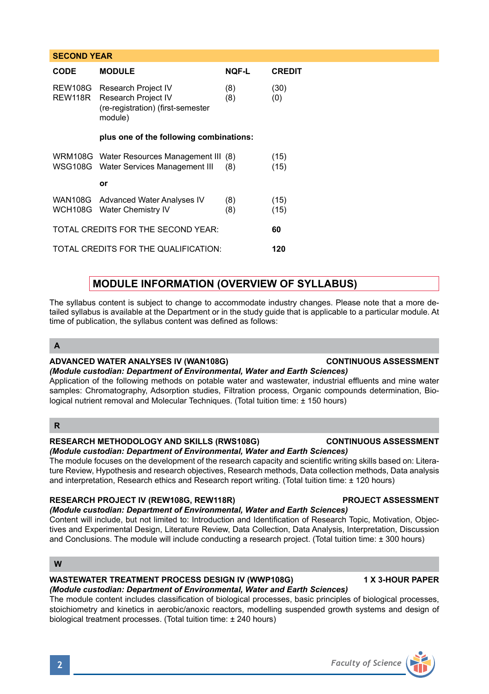|                                          | CODE                                        | <b>MODULE</b>                                                                              | <b>NOF-L</b> | <b>CREDIT</b> |  |  |
|------------------------------------------|---------------------------------------------|--------------------------------------------------------------------------------------------|--------------|---------------|--|--|
|                                          | REW108G<br>REW118R                          | Research Project IV<br>Research Project IV<br>(re-registration) (first-semester<br>module) | (8)<br>(8)   | (30)<br>(0)   |  |  |
|                                          | plus one of the following combinations:     |                                                                                            |              |               |  |  |
|                                          |                                             | WRM108G Water Resources Management III (8)<br>WSG108G Water Services Management III        | (8)          | (15)<br>(15)  |  |  |
|                                          |                                             | or                                                                                         |              |               |  |  |
|                                          |                                             | WAN108G Advanced Water Analyses IV<br>WCH108G Water Chemistry IV                           | (8)<br>(8)   | (15)<br>(15)  |  |  |
| TOTAL CREDITS FOR THE SECOND YEAR:<br>60 |                                             |                                                                                            |              |               |  |  |
|                                          | TOTAL CREDITS FOR THE QUALIFICATION:<br>120 |                                                                                            |              |               |  |  |

# **MODULE INFORMATION (OVERVIEW OF SYLLABUS)**

The syllabus content is subject to change to accommodate industry changes. Please note that a more detailed syllabus is available at the Department or in the study guide that is applicable to a particular module. At time of publication, the syllabus content was defined as follows:

## **A**

**SECOND YEAR** 

## **ADVANCED WATER ANALYSES IV (WAN108G) CONTINUOUS ASSESSMENT**

### *(Module custodian: Department of Environmental, Water and Earth Sciences)* Application of the following methods on potable water and wastewater, industrial effluents and mine water samples: Chromatography, Adsorption studies, Filtration process, Organic compounds determination, Biological nutrient removal and Molecular Techniques. (Total tuition time: ± 150 hours)

# **R**

## **RESEARCH METHODOLOGY AND SKILLS (RWS108G) CONTINUOUS ASSESSMENT**

# *(Module custodian: Department of Environmental, Water and Earth Sciences)*

The module focuses on the development of the research capacity and scientific writing skills based on: Literature Review, Hypothesis and research objectives, Research methods, Data collection methods, Data analysis and interpretation, Research ethics and Research report writing. (Total tuition time: ± 120 hours)

# **RESEARCH PROJECT IV (REW108G, REW118R) PROJECT ASSESSMENT**

# *(Module custodian: Department of Environmental, Water and Earth Sciences)*

Content will include, but not limited to: Introduction and Identification of Research Topic, Motivation, Objectives and Experimental Design, Literature Review, Data Collection, Data Analysis, Interpretation, Discussion and Conclusions. The module will include conducting a research project. (Total tuition time: ± 300 hours)

## **W**

### **WASTEWATER TREATMENT PROCESS DESIGN IV (WWP108G) 4 X 3-HOUR PAPER** *(Module custodian: Department of Environmental, Water and Earth Sciences)*

The module content includes classification of biological processes, basic principles of biological processes, stoichiometry and kinetics in aerobic/anoxic reactors, modelling suspended growth systems and design of biological treatment processes. (Total tuition time: ± 240 hours)